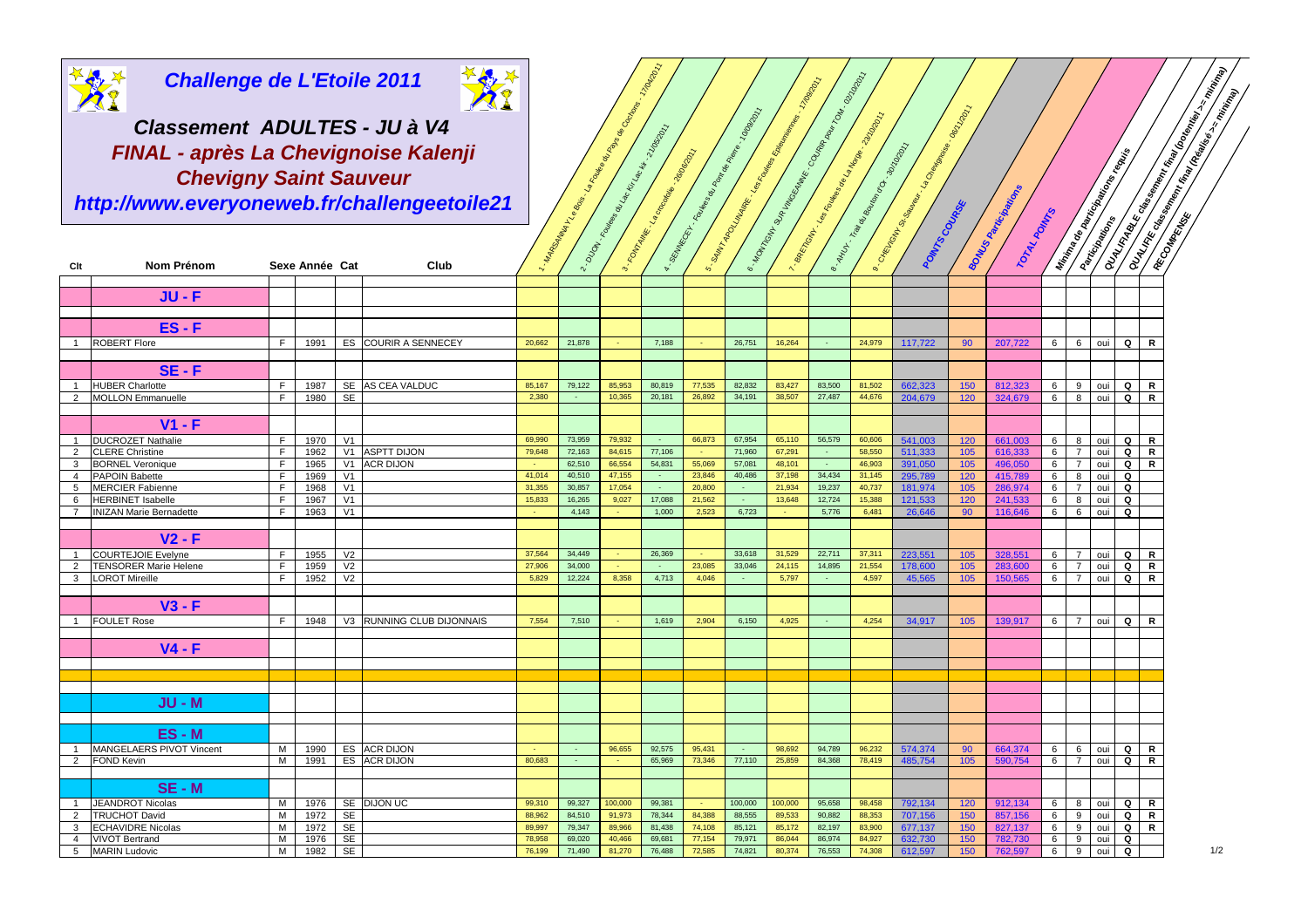

**Challenge de L'Etoile 2011**A1

| <b>Challenge de L'Etoile 2011</b><br><b>Al</b><br>Classement ADULTES - JU à V4 |                                                                                                                      |         |                                 |                                              |                              |                                                   |                                     | 02/10/2011<br>17/04/2<br>S. 12/09/2011<br>e - Holynom Magnus Contra Routine<br>08-170011<br>10000011<br>-23/10/17 |                                                    |                          |                                                            |                  |                               |                  |                    |                                                                                                                       |                    |                | Construction of the Construction of the Construction of the Construction of the Construction of the Construction<br><b>COURT RECORDS MANUS RECORDS AND RECORDS FOR A STATISTICS</b> |              |               |                     |     |  |  |
|--------------------------------------------------------------------------------|----------------------------------------------------------------------------------------------------------------------|---------|---------------------------------|----------------------------------------------|------------------------------|---------------------------------------------------|-------------------------------------|-------------------------------------------------------------------------------------------------------------------|----------------------------------------------------|--------------------------|------------------------------------------------------------|------------------|-------------------------------|------------------|--------------------|-----------------------------------------------------------------------------------------------------------------------|--------------------|----------------|-------------------------------------------------------------------------------------------------------------------------------------------------------------------------------------|--------------|---------------|---------------------|-----|--|--|
|                                                                                | FINAL - après La Chevignoise Kalenji<br><b>Chevigny Saint Sauveur</b><br>http://www.everyoneweb.fr/challengeetoile21 |         | I Management of Sealence Report | I - Org. Tower of Lab Lab Marchines 22 april |                              | · SMR (SCF)- Rowsell River Road Prince Contractor | 5. Safry AD VIAMER - See To Clayses |                                                                                                                   | I Refer on the Manuscript Contractor of Manuscript | 1. ANUL. Trava Bodom Co. | 14000001<br>a Category Salaman Categories<br>PONINS COUNSE |                  | <b>BONUS ABRECIA REGIONAL</b> |                  |                    | <b>Million de Américan de la Registration de la Registration de la Registration de la Registration de la Registra</b> |                    |                |                                                                                                                                                                                     |              |               |                     |     |  |  |
| Clt                                                                            | Nom Prénom                                                                                                           |         | Sexe Année Cat                  |                                              | Club                         |                                                   |                                     |                                                                                                                   |                                                    | 6                        |                                                            |                  |                               |                  |                    |                                                                                                                       | TOTAL POINTS       |                |                                                                                                                                                                                     |              |               |                     |     |  |  |
|                                                                                | <b>JU-F</b>                                                                                                          |         |                                 |                                              |                              |                                                   |                                     |                                                                                                                   |                                                    |                          |                                                            |                  |                               |                  |                    |                                                                                                                       |                    |                |                                                                                                                                                                                     |              |               |                     |     |  |  |
|                                                                                |                                                                                                                      |         |                                 |                                              |                              |                                                   |                                     |                                                                                                                   |                                                    |                          |                                                            |                  |                               |                  |                    |                                                                                                                       |                    |                |                                                                                                                                                                                     |              |               |                     |     |  |  |
|                                                                                | $ES - F$                                                                                                             |         |                                 |                                              |                              |                                                   |                                     |                                                                                                                   |                                                    |                          |                                                            |                  |                               |                  |                    |                                                                                                                       |                    |                |                                                                                                                                                                                     |              |               |                     |     |  |  |
| $\mathbf{1}$                                                                   | <b>ROBERT Flore</b>                                                                                                  | F.      | 1991                            |                                              | ES COURIR A SENNECEY         | 20,662                                            | 21,878                              |                                                                                                                   | 7,188                                              |                          | 26,751                                                     | 16,264           | $\sim$                        | 24,979           | 117.722            | 90                                                                                                                    | 207.722            | 6              |                                                                                                                                                                                     | 6 oui        | $Q \mid$      | R                   |     |  |  |
|                                                                                | $SE - F$                                                                                                             |         |                                 |                                              |                              |                                                   |                                     |                                                                                                                   |                                                    |                          |                                                            |                  |                               |                  |                    |                                                                                                                       |                    |                |                                                                                                                                                                                     |              |               |                     |     |  |  |
| $\mathbf{1}$                                                                   | <b>HUBER Charlotte</b>                                                                                               | F.      | 1987                            |                                              | SE AS CEA VALDUC             | 85,167                                            | 79,122                              | 85,953                                                                                                            | 80,819                                             | 77,535                   | 82,832                                                     | 83,427           | 83,500                        | 81,502           | 662,323            | 150                                                                                                                   | 812,323            | 6              |                                                                                                                                                                                     | 9 oui        | Q             | R                   |     |  |  |
| $\overline{2}$                                                                 | <b>MOLLON</b> Emmanuelle                                                                                             | F.      | 1980                            | <b>SE</b>                                    |                              | 2,380                                             |                                     | 10,365                                                                                                            | 20,181                                             | 26,892                   | 34,191                                                     | 38,507           | 27,487                        | 44,676           | 204,679            | 120                                                                                                                   | 324,679            | 6              | 8                                                                                                                                                                                   | oui          | $\mathbf Q$   | $\mathsf{R}$        |     |  |  |
|                                                                                | V1 - F                                                                                                               |         |                                 |                                              |                              |                                                   |                                     |                                                                                                                   |                                                    |                          |                                                            |                  |                               |                  |                    |                                                                                                                       |                    |                |                                                                                                                                                                                     |              |               |                     |     |  |  |
| $\mathbf{1}$                                                                   | <b>DUCROZET Nathalie</b>                                                                                             | F.      | 1970                            | V1                                           |                              | 69,990                                            | 73,959                              | 79,932                                                                                                            |                                                    | 66,873                   | 67,954                                                     | 65,110           | 56,579                        | 60,606           | 541,003            | 120                                                                                                                   | 661,003            | 6              |                                                                                                                                                                                     | 8 oui        | Q             | R                   |     |  |  |
| $\overline{2}$                                                                 | <b>CLERE Christine</b>                                                                                               | F.      | 1962                            |                                              | V1 ASPTT DIJON               | 79,648                                            | 72,163                              | 84,615                                                                                                            | 77,106                                             | <b>CH</b>                | 71,960                                                     | 67,291           | $\sim$                        | 58,550           | 511,333            | 105                                                                                                                   | 616,333            | 6              | 7                                                                                                                                                                                   | oui          | $\mathbf Q$   | $\mathsf{R}$        |     |  |  |
| 3                                                                              | <b>BORNEL Veronique</b>                                                                                              | F.      | 1965                            |                                              | V1 ACR DIJON                 |                                                   | 62,510                              | 66,554                                                                                                            | 54,831                                             | 55,069                   | 57,081                                                     | 48,101           | $\sim$                        | 46,903           | 391.050            | 105                                                                                                                   | 496.050            | 6              | $\overline{7}$                                                                                                                                                                      | oui          | Q             | $\mathsf{R}$        |     |  |  |
| $\overline{4}$                                                                 | <b>PAPOIN Babette</b>                                                                                                | F.      | 1969                            | V <sub>1</sub>                               |                              | 41.014                                            | 40,510                              | 47.155                                                                                                            |                                                    | 23,846                   | 40,486                                                     | 37,198           | 34,434                        | 31,145           | 295,789            | 120                                                                                                                   | 415,789            | 6              | 8                                                                                                                                                                                   | oui          | Q             |                     |     |  |  |
| $5^{\circ}$                                                                    | <b>MERCIER Fabienne</b>                                                                                              | F       | 1968                            | V1                                           |                              | 31,355                                            | 30,857                              | 17,054                                                                                                            | 17,088                                             | 20,800                   |                                                            | 21,934           | 19,237                        | 40,737           | 181,974            | 105                                                                                                                   | 286,974            | 6              | $7^{\circ}$                                                                                                                                                                         | oui          | $\mathbf Q$   |                     |     |  |  |
| 6<br>$\overline{7}$                                                            | <b>HERBINET Isabelle</b><br><b>INIZAN Marie Bernadette</b>                                                           | F<br>F. | 1967<br>1963                    | V1<br>V <sub>1</sub>                         |                              | 15,833                                            | 16,265<br>4,143                     | 9,027                                                                                                             | 1,000                                              | 21,562<br>2,523          | $\sim$<br>6,723                                            | 13,648           | 12,724<br>5,776               | 15,388<br>6,481  | 121,533<br>26,646  | 120 <sub>1</sub><br>90                                                                                                | 241.533<br>116,646 | 6<br>6         | 8<br>6                                                                                                                                                                              | oui<br>oui   | Q<br>Q        |                     |     |  |  |
|                                                                                |                                                                                                                      |         |                                 |                                              |                              |                                                   |                                     |                                                                                                                   |                                                    |                          |                                                            |                  |                               |                  |                    |                                                                                                                       |                    |                |                                                                                                                                                                                     |              |               |                     |     |  |  |
|                                                                                | $V2 - F$                                                                                                             |         |                                 |                                              |                              |                                                   |                                     |                                                                                                                   |                                                    |                          |                                                            |                  |                               |                  |                    |                                                                                                                       |                    |                |                                                                                                                                                                                     |              |               |                     |     |  |  |
|                                                                                | <b>COURTEJOIE Evelyne</b>                                                                                            | F       | 1955                            | V <sub>2</sub>                               |                              | 37,564                                            | 34,449                              |                                                                                                                   | 26,369                                             |                          | 33,618                                                     | 31,529           | 22,711                        | 37,311           | 223,551            | 105                                                                                                                   | 328,551            | 6              | $\overline{7}$                                                                                                                                                                      | oui          | Q             | R                   |     |  |  |
| $\overline{2}$                                                                 | <b>TENSORER Marie Helene</b>                                                                                         | F.      | 1959                            | V <sub>2</sub>                               |                              | 27,906                                            | 34,000                              |                                                                                                                   |                                                    | 23,085                   | 33,046                                                     | 24,115           | 14,895                        | 21,554           | 178,600            | 105                                                                                                                   | 283.600            | 6              | $\overline{7}$                                                                                                                                                                      | oui          | $\mathbf Q$   | $\mathsf{R}$        |     |  |  |
| 3                                                                              | <b>LOROT Mireille</b>                                                                                                | F.      | 1952                            | V <sub>2</sub>                               |                              | 5,829                                             | 12,224                              | 8,358                                                                                                             | 4,713                                              | 4,046                    | $\sim$                                                     | 5,797            |                               | 4,597            | 45,565             | 105                                                                                                                   | 150,565            | 6              | $\overline{7}$                                                                                                                                                                      | oui          | Q             | $\mathsf{R}$        |     |  |  |
|                                                                                | $V3 - F$                                                                                                             |         |                                 |                                              |                              |                                                   |                                     |                                                                                                                   |                                                    |                          |                                                            |                  |                               |                  |                    |                                                                                                                       |                    |                |                                                                                                                                                                                     |              |               |                     |     |  |  |
|                                                                                | <b>FOULET Rose</b>                                                                                                   | F.      | 1948                            |                                              | V3 RUNNING CLUB DIJONNAIS    | 7,554                                             | 7,510                               |                                                                                                                   | 1,619                                              | 2,904                    | 6,150                                                      | 4,925            | $\sim$                        | 4,254            | 34,917             | 105                                                                                                                   | 139,917            | 6 <sup>1</sup> |                                                                                                                                                                                     | 7 oui        | $\mathbf Q$   | R                   |     |  |  |
|                                                                                |                                                                                                                      |         |                                 |                                              |                              |                                                   |                                     |                                                                                                                   |                                                    |                          |                                                            |                  |                               |                  |                    |                                                                                                                       |                    |                |                                                                                                                                                                                     |              |               |                     |     |  |  |
|                                                                                | $V4 - F$                                                                                                             |         |                                 |                                              |                              |                                                   |                                     |                                                                                                                   |                                                    |                          |                                                            |                  |                               |                  |                    |                                                                                                                       |                    |                |                                                                                                                                                                                     |              |               |                     |     |  |  |
|                                                                                |                                                                                                                      |         |                                 |                                              |                              |                                                   |                                     |                                                                                                                   |                                                    |                          |                                                            |                  |                               |                  |                    |                                                                                                                       |                    |                |                                                                                                                                                                                     |              |               |                     |     |  |  |
|                                                                                |                                                                                                                      |         |                                 |                                              |                              |                                                   |                                     |                                                                                                                   |                                                    |                          |                                                            |                  |                               |                  |                    |                                                                                                                       |                    |                |                                                                                                                                                                                     |              |               |                     |     |  |  |
|                                                                                |                                                                                                                      |         |                                 |                                              |                              |                                                   |                                     |                                                                                                                   |                                                    |                          |                                                            |                  |                               |                  |                    |                                                                                                                       |                    |                |                                                                                                                                                                                     |              |               |                     |     |  |  |
|                                                                                | <b>JU - M</b>                                                                                                        |         |                                 |                                              |                              |                                                   |                                     |                                                                                                                   |                                                    |                          |                                                            |                  |                               |                  |                    |                                                                                                                       |                    |                |                                                                                                                                                                                     |              |               |                     |     |  |  |
|                                                                                |                                                                                                                      |         |                                 |                                              |                              |                                                   |                                     |                                                                                                                   |                                                    |                          |                                                            |                  |                               |                  |                    |                                                                                                                       |                    |                |                                                                                                                                                                                     |              |               |                     |     |  |  |
|                                                                                | ES-M                                                                                                                 |         |                                 |                                              |                              |                                                   |                                     |                                                                                                                   |                                                    |                          |                                                            |                  |                               |                  |                    |                                                                                                                       |                    |                |                                                                                                                                                                                     |              |               |                     |     |  |  |
| $\mathbf{1}$<br>$\overline{2}$                                                 | <b>MANGELAERS PIVOT Vincent</b><br><b>FOND Kevin</b>                                                                 | M<br>M  | 1990<br>1991                    |                                              | ES ACR DIJON<br>ES ACR DIJON | 80,683                                            | $\sim$                              | 96.655                                                                                                            | 92.575<br>65,969                                   | 95,431<br>73,346         | 77,110                                                     | 98.692<br>25,859 | 94,789<br>84,368              | 96,232<br>78,419 | 574,374<br>485,754 | 90<br>105                                                                                                             | 664,374<br>590,754 | 6<br>$6-1$     | 6                                                                                                                                                                                   | oui<br>7 oui | Q<br>$Q \mid$ | R<br>$\overline{R}$ |     |  |  |
|                                                                                |                                                                                                                      |         |                                 |                                              |                              |                                                   |                                     |                                                                                                                   |                                                    |                          |                                                            |                  |                               |                  |                    |                                                                                                                       |                    |                |                                                                                                                                                                                     |              |               |                     |     |  |  |
|                                                                                | $SE - M$                                                                                                             |         |                                 |                                              |                              |                                                   |                                     |                                                                                                                   |                                                    |                          |                                                            |                  |                               |                  |                    |                                                                                                                       |                    |                |                                                                                                                                                                                     |              |               |                     |     |  |  |
| 1                                                                              | <b>JEANDROT Nicolas</b>                                                                                              | М       | 1976                            |                                              | SE DIJON UC                  | 99,310                                            | 99,327                              | 100,000                                                                                                           | 99,381                                             |                          | 100,000                                                    | 100,000          | 95,658                        | 98,458           | 792,134            | 120                                                                                                                   | 912,134            | 6              |                                                                                                                                                                                     | 8 oui        | Q             | R                   |     |  |  |
| $\mathbf{2}$                                                                   | <b>TRUCHOT David</b>                                                                                                 | M       | 1972                            | SE                                           |                              | 88,962                                            | 84,510                              | 91,973                                                                                                            | 78,344                                             | 84,388                   | 88,555                                                     | 89,533           | 90,882                        | 88,353           | 707,156            | 150                                                                                                                   | 857.156            | 6              | 9                                                                                                                                                                                   | oui          | Q             | $\mathsf{R}$        |     |  |  |
| 3                                                                              | <b>ECHAVIDRE Nicolas</b>                                                                                             | м       | 1972                            | SE                                           |                              | 89,997                                            | 79,347                              | 89,966                                                                                                            | 81,438                                             | 74,108                   | 85,121                                                     | 85,172           | 82,197                        | 83,900           | 677,137            | 150                                                                                                                   | 827,137            | 6              | 9                                                                                                                                                                                   | oui          | Q             | R                   |     |  |  |
| $\overline{4}$                                                                 | <b>VIVOT Bertrand</b>                                                                                                | м       | 1976                            | <b>SE</b>                                    |                              | 78,958                                            | 69,020                              | 40,466                                                                                                            | 69,681                                             | 77,154                   | 79,971                                                     | 86,044           | 86,974<br>76,553              | 84,927           | 632.730            | 150                                                                                                                   | 782.730            | 6              | 9                                                                                                                                                                                   | oui          | Q             |                     | 1/2 |  |  |
|                                                                                | 5 MARIN Ludovic                                                                                                      | M       | 1982                            | SE                                           |                              | 76,199                                            | 71,490                              | 81,270                                                                                                            | 76,488                                             | 72,585                   | 74,821                                                     | 80,374           |                               | 74,308           | 612,597            | 150                                                                                                                   | 762,597            | 6              |                                                                                                                                                                                     | 9 oui        | Q             |                     |     |  |  |

**history**<br>Papa Papa

110<sub>810</sub>11